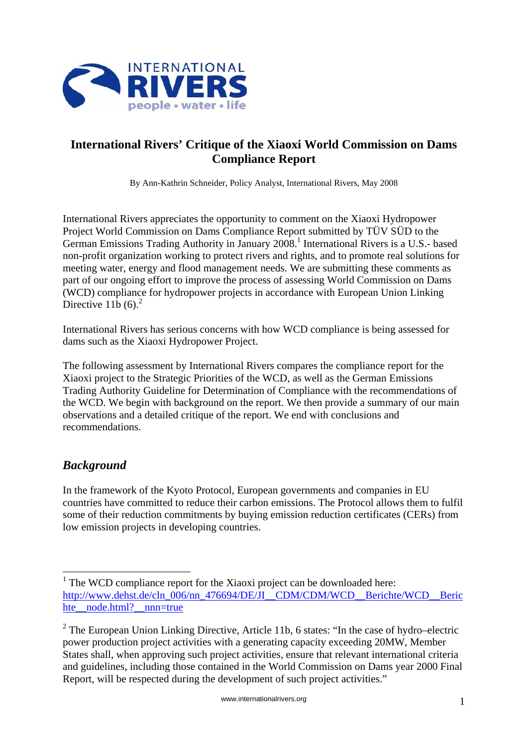

# **International Rivers' Critique of the Xiaoxi World Commission on Dams Compliance Report**

By Ann-Kathrin Schneider, Policy Analyst, International Rivers, May 2008

International Rivers appreciates the opportunity to comment on the Xiaoxi Hydropower Project World Commission on Dams Compliance Report submitted by TÜV SÜD to the German Emissions Trading Authority in January 2008.<sup>1</sup> International Rivers is a U.S.- based non-profit organization working to protect rivers and rights, and to promote real solutions for meeting water, energy and flood management needs. We are submitting these comments as part of our ongoing effort to improve the process of assessing World Commission on Dams (WCD) compliance for hydropower projects in accordance with European Union Linking Directive 11b  $(6)$ .<sup>2</sup>

International Rivers has serious concerns with how WCD compliance is being assessed for dams such as the Xiaoxi Hydropower Project.

The following assessment by International Rivers compares the compliance report for the Xiaoxi project to the Strategic Priorities of the WCD, as well as the German Emissions Trading Authority Guideline for Determination of Compliance with the recommendations of the WCD. We begin with background on the report. We then provide a summary of our main observations and a detailed critique of the report. We end with conclusions and recommendations.

# *Background*

In the framework of the Kyoto Protocol, European governments and companies in EU countries have committed to reduce their carbon emissions. The Protocol allows them to fulfil some of their reduction commitments by buying emission reduction certificates (CERs) from low emission projects in developing countries.

<sup>&</sup>lt;sup>1</sup> The WCD compliance report for the Xiaoxi project can be downloaded here: http://www.dehst.de/cln\_006/nn\_476694/DE/JI\_\_CDM/CDM/WCD\_\_Berichte/WCD\_\_Beric hte\_node.html?\_nnn=true

<sup>&</sup>lt;sup>2</sup> The European Union Linking Directive, Article 11b, 6 states: "In the case of hydro-electric power production project activities with a generating capacity exceeding 20MW, Member States shall, when approving such project activities, ensure that relevant international criteria and guidelines, including those contained in the World Commission on Dams year 2000 Final Report, will be respected during the development of such project activities."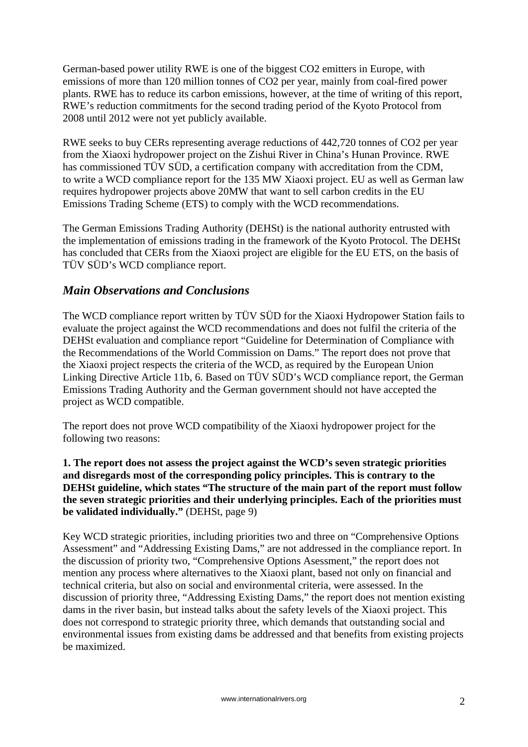German-based power utility RWE is one of the biggest CO2 emitters in Europe, with emissions of more than 120 million tonnes of CO2 per year, mainly from coal-fired power plants. RWE has to reduce its carbon emissions, however, at the time of writing of this report, RWE's reduction commitments for the second trading period of the Kyoto Protocol from 2008 until 2012 were not yet publicly available.

RWE seeks to buy CERs representing average reductions of 442,720 tonnes of CO2 per year from the Xiaoxi hydropower project on the Zishui River in China's Hunan Province. RWE has commissioned TÜV SÜD, a certification company with accreditation from the CDM, to write a WCD compliance report for the 135 MW Xiaoxi project. EU as well as German law requires hydropower projects above 20MW that want to sell carbon credits in the EU Emissions Trading Scheme (ETS) to comply with the WCD recommendations.

The German Emissions Trading Authority (DEHSt) is the national authority entrusted with the implementation of emissions trading in the framework of the Kyoto Protocol. The DEHSt has concluded that CERs from the Xiaoxi project are eligible for the EU ETS, on the basis of TÜV SÜD's WCD compliance report.

# *Main Observations and Conclusions*

The WCD compliance report written by TÜV SÜD for the Xiaoxi Hydropower Station fails to evaluate the project against the WCD recommendations and does not fulfil the criteria of the DEHSt evaluation and compliance report "Guideline for Determination of Compliance with the Recommendations of the World Commission on Dams." The report does not prove that the Xiaoxi project respects the criteria of the WCD, as required by the European Union Linking Directive Article 11b, 6. Based on TÜV SÜD's WCD compliance report, the German Emissions Trading Authority and the German government should not have accepted the project as WCD compatible.

The report does not prove WCD compatibility of the Xiaoxi hydropower project for the following two reasons:

**1. The report does not assess the project against the WCD's seven strategic priorities and disregards most of the corresponding policy principles. This is contrary to the DEHSt guideline, which states "The structure of the main part of the report must follow the seven strategic priorities and their underlying principles. Each of the priorities must be validated individually."** (DEHSt, page 9)

Key WCD strategic priorities, including priorities two and three on "Comprehensive Options Assessment" and "Addressing Existing Dams," are not addressed in the compliance report. In the discussion of priority two, "Comprehensive Options Asessment," the report does not mention any process where alternatives to the Xiaoxi plant, based not only on financial and technical criteria, but also on social and environmental criteria, were assessed. In the discussion of priority three, "Addressing Existing Dams," the report does not mention existing dams in the river basin, but instead talks about the safety levels of the Xiaoxi project. This does not correspond to strategic priority three, which demands that outstanding social and environmental issues from existing dams be addressed and that benefits from existing projects be maximized.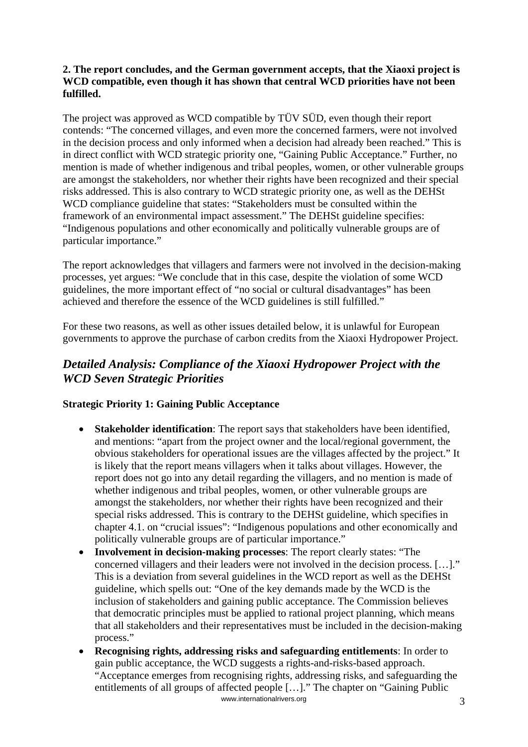# **2. The report concludes, and the German government accepts, that the Xiaoxi project is WCD compatible, even though it has shown that central WCD priorities have not been fulfilled.**

The project was approved as WCD compatible by TÜV SÜD, even though their report contends: "The concerned villages, and even more the concerned farmers, were not involved in the decision process and only informed when a decision had already been reached." This is in direct conflict with WCD strategic priority one, "Gaining Public Acceptance." Further, no mention is made of whether indigenous and tribal peoples, women, or other vulnerable groups are amongst the stakeholders, nor whether their rights have been recognized and their special risks addressed. This is also contrary to WCD strategic priority one, as well as the DEHSt WCD compliance guideline that states: "Stakeholders must be consulted within the framework of an environmental impact assessment." The DEHSt guideline specifies: "Indigenous populations and other economically and politically vulnerable groups are of particular importance."

The report acknowledges that villagers and farmers were not involved in the decision-making processes, yet argues: "We conclude that in this case, despite the violation of some WCD guidelines, the more important effect of "no social or cultural disadvantages" has been achieved and therefore the essence of the WCD guidelines is still fulfilled."

For these two reasons, as well as other issues detailed below, it is unlawful for European governments to approve the purchase of carbon credits from the Xiaoxi Hydropower Project.

# *Detailed Analysis: Compliance of the Xiaoxi Hydropower Project with the WCD Seven Strategic Priorities*

## **Strategic Priority 1: Gaining Public Acceptance**

- **Stakeholder identification**: The report says that stakeholders have been identified, and mentions: "apart from the project owner and the local/regional government, the obvious stakeholders for operational issues are the villages affected by the project." It is likely that the report means villagers when it talks about villages. However, the report does not go into any detail regarding the villagers, and no mention is made of whether indigenous and tribal peoples, women, or other vulnerable groups are amongst the stakeholders, nor whether their rights have been recognized and their special risks addressed. This is contrary to the DEHSt guideline, which specifies in chapter 4.1. on "crucial issues": "Indigenous populations and other economically and politically vulnerable groups are of particular importance."
- **Involvement in decision-making processes**: The report clearly states: "The concerned villagers and their leaders were not involved in the decision process. […]." This is a deviation from several guidelines in the WCD report as well as the DEHSt guideline, which spells out: "One of the key demands made by the WCD is the inclusion of stakeholders and gaining public acceptance. The Commission believes that democratic principles must be applied to rational project planning, which means that all stakeholders and their representatives must be included in the decision-making process."
- www.internationalrivers.org 3 • **Recognising rights, addressing risks and safeguarding entitlements**: In order to gain public acceptance, the WCD suggests a rights-and-risks-based approach. "Acceptance emerges from recognising rights, addressing risks, and safeguarding the entitlements of all groups of affected people […]." The chapter on "Gaining Public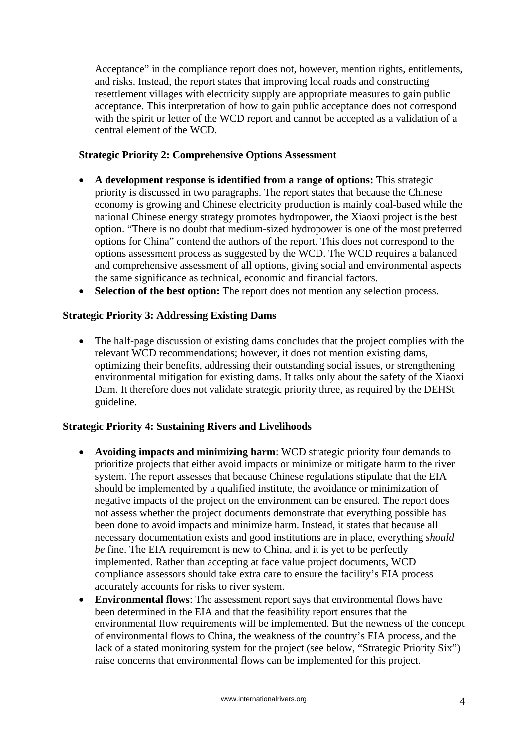Acceptance" in the compliance report does not, however, mention rights, entitlements, and risks. Instead, the report states that improving local roads and constructing resettlement villages with electricity supply are appropriate measures to gain public acceptance. This interpretation of how to gain public acceptance does not correspond with the spirit or letter of the WCD report and cannot be accepted as a validation of a central element of the WCD.

### **Strategic Priority 2: Comprehensive Options Assessment**

- **A development response is identified from a range of options:** This strategic priority is discussed in two paragraphs. The report states that because the Chinese economy is growing and Chinese electricity production is mainly coal-based while the national Chinese energy strategy promotes hydropower, the Xiaoxi project is the best option. "There is no doubt that medium-sized hydropower is one of the most preferred options for China" contend the authors of the report. This does not correspond to the options assessment process as suggested by the WCD. The WCD requires a balanced and comprehensive assessment of all options, giving social and environmental aspects the same significance as technical, economic and financial factors.
- **Selection of the best option:** The report does not mention any selection process.

#### **Strategic Priority 3: Addressing Existing Dams**

• The half-page discussion of existing dams concludes that the project complies with the relevant WCD recommendations; however, it does not mention existing dams, optimizing their benefits, addressing their outstanding social issues, or strengthening environmental mitigation for existing dams. It talks only about the safety of the Xiaoxi Dam. It therefore does not validate strategic priority three, as required by the DEHSt guideline.

#### **Strategic Priority 4: Sustaining Rivers and Livelihoods**

- **Avoiding impacts and minimizing harm**: WCD strategic priority four demands to prioritize projects that either avoid impacts or minimize or mitigate harm to the river system. The report assesses that because Chinese regulations stipulate that the EIA should be implemented by a qualified institute, the avoidance or minimization of negative impacts of the project on the environment can be ensured. The report does not assess whether the project documents demonstrate that everything possible has been done to avoid impacts and minimize harm. Instead, it states that because all necessary documentation exists and good institutions are in place, everything *should be* fine. The EIA requirement is new to China, and it is yet to be perfectly implemented. Rather than accepting at face value project documents, WCD compliance assessors should take extra care to ensure the facility's EIA process accurately accounts for risks to river system.
- **Environmental flows**: The assessment report says that environmental flows have been determined in the EIA and that the feasibility report ensures that the environmental flow requirements will be implemented. But the newness of the concept of environmental flows to China, the weakness of the country's EIA process, and the lack of a stated monitoring system for the project (see below, "Strategic Priority Six") raise concerns that environmental flows can be implemented for this project.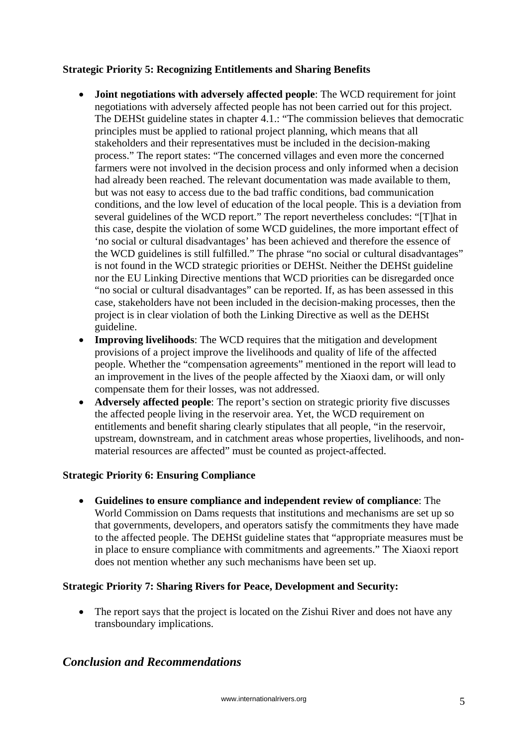# **Strategic Priority 5: Recognizing Entitlements and Sharing Benefits**

- **Joint negotiations with adversely affected people**: The WCD requirement for joint negotiations with adversely affected people has not been carried out for this project. The DEHSt guideline states in chapter 4.1.: "The commission believes that democratic principles must be applied to rational project planning, which means that all stakeholders and their representatives must be included in the decision-making process." The report states: "The concerned villages and even more the concerned farmers were not involved in the decision process and only informed when a decision had already been reached. The relevant documentation was made available to them, but was not easy to access due to the bad traffic conditions, bad communication conditions, and the low level of education of the local people. This is a deviation from several guidelines of the WCD report." The report nevertheless concludes: "[T]hat in this case, despite the violation of some WCD guidelines, the more important effect of 'no social or cultural disadvantages' has been achieved and therefore the essence of the WCD guidelines is still fulfilled." The phrase "no social or cultural disadvantages" is not found in the WCD strategic priorities or DEHSt. Neither the DEHSt guideline nor the EU Linking Directive mentions that WCD priorities can be disregarded once "no social or cultural disadvantages" can be reported. If, as has been assessed in this case, stakeholders have not been included in the decision-making processes, then the project is in clear violation of both the Linking Directive as well as the DEHSt guideline.
- **Improving livelihoods**: The WCD requires that the mitigation and development provisions of a project improve the livelihoods and quality of life of the affected people. Whether the "compensation agreements" mentioned in the report will lead to an improvement in the lives of the people affected by the Xiaoxi dam, or will only compensate them for their losses, was not addressed.
- **Adversely affected people**: The report's section on strategic priority five discusses the affected people living in the reservoir area. Yet, the WCD requirement on entitlements and benefit sharing clearly stipulates that all people, "in the reservoir, upstream, downstream, and in catchment areas whose properties, livelihoods, and nonmaterial resources are affected" must be counted as project-affected.

## **Strategic Priority 6: Ensuring Compliance**

• **Guidelines to ensure compliance and independent review of compliance**: The World Commission on Dams requests that institutions and mechanisms are set up so that governments, developers, and operators satisfy the commitments they have made to the affected people. The DEHSt guideline states that "appropriate measures must be in place to ensure compliance with commitments and agreements." The Xiaoxi report does not mention whether any such mechanisms have been set up.

## **Strategic Priority 7: Sharing Rivers for Peace, Development and Security:**

• The report says that the project is located on the Zishui River and does not have any transboundary implications.

# *Conclusion and Recommendations*